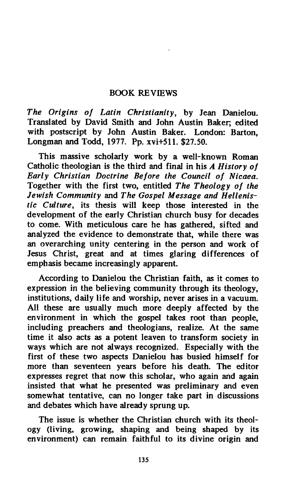## **BOOK REVIEWS**

*The Origins of Latin Christianity,* **by Jean Danielou. Translated by David Smith and John Austin Baker; edited with postscript by John Austin Baker. London: Barton, Longman and Todd, 1977. Pp. xvi+511. \$27.50.** 

**This massive scholarly work by a well-known Roman Catholic theologian is the third and final in his** *A History of Early Christian Doctrine Before the Council of Nicaea.*  **Together with the first two, entitled** *The Theology of the Jewish Community* **and** *The Gospel Message and Hellenistic Culture,* **its thesis will keep those interested in the development of the early Christian church busy for decades to come. With meticulous care he has gathered, sifted and analyzed the evidence to demonstrate that, while there was an overarching unity centering in the person and work of Jesus Christ, great and at times glaring differences of emphasis became increasingly apparent.** 

**According to Danielou the Christian faith, as it comes to expression in the believing community through its theology, institutions, daily life and worship, never arises in a vacuum. All these are usually much more deeply affected by the environment in which the gospel takes root than people, including preachers and theologians, realize. At the same time it also acts as a potent leaven to transform society in ways which are not always recognized. Especially with the first of these two aspects Danielou has busied himself for more than seventeen years before his death. The editor expresses regret that now this scholar, who again and again insisted that what he presented was preliminary and even somewhat tentative, can no longer take part in discussions and debates which have already sprung up.** 

**The issue is whether the Christian church with its theology (living, growing, shaping and being shaped by its environment) can remain faithful to its divine origin and**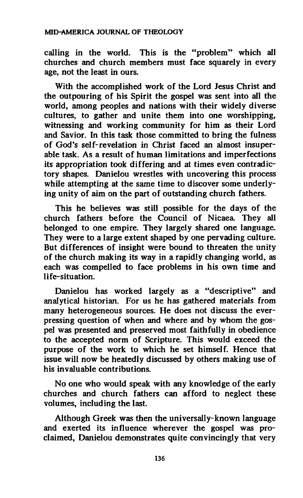## **MID-AMERICA JOURNAL OF THEOLOGY**

**calling in the world. This is the "problem" which all churches and church members must face squarely in every age, not the least in ours.** 

**With the accomplished work of the Lord Jesus Christ and the outpouring of his Spirit the gospel was sent into all the world, among peoples and nations with their widely diverse cultures, to gather and unite them into one worshipping, witnessing and working community for him as their Lord and Savior. In this task those committed to bring the fulness of God's self-revelation in Christ faced an almost insuperable task. As a result of human limitations and imperfections its appropriation took differing and at times even contradictory shapes. Danielou wrestles with uncovering this process while attempting at the same time to discover some underlying unity of aim on the part of outstanding church fathers.** 

**This he believes was still possible for the days of the church fathers before the Council of Nicaea They all belonged to one empire. They largely shared one language. They were to a large extent shaped by one pervading culture. But differences of insight were bound to threaten the unity of the church making its way in a rapidly changing world, as each was compelled to face problems in his own time and life-situation.** 

**Danielou has worked largely as a "descriptive" and analytical historian. For us he has gathered materials from many heterogeneous sources. He does not discuss the everpressing question of when and where and by whom the gospel was presented and preserved most faithfully in obedience to the accepted norm of Scripture. This would exceed the purpose of the work to which he set himself. Hence that issue will now be heatedly discussed by others making use of his invaluable contributions.** 

**No one who would speak with any knowledge of the early churches and church fathers can afford to neglect these volumes, including the last.** 

**Although Greek was then the universally-known language and exerted its influence wherever the gospel was proclaimed, Danielou demonstrates quite convincingly that very**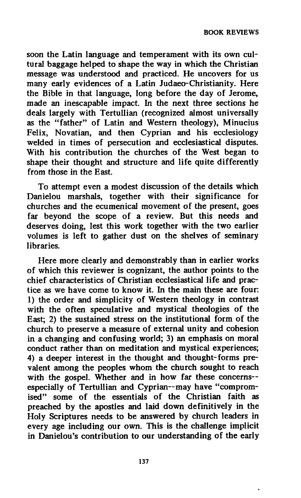**soon the Latin language and temperament with its own cultural baggage helped to shape the way in which the Christian message was understood and practiced. He uncovers for us many early evidences of a Latin Judaeo-Christianity. Here the Bible in that language, long before the day of Jerome, made an inescapable impact. In the next three sections he deals largely with Tertullian (recognized almost universally as the "father" of Latin and Western theology), Minucius Felix, Novatian, and then Cyprian and his ecclesiology welded in times of persecution and ecclesiastical disputes. With his contribution the churches of the West began to shape their thought and structure and life quite differently from those in the East.** 

**To attempt even a modest discussion of the details which Danielou marshals, together with their significance for churches and the ecumenical movement of the present, goes far beyond the scope of a review. But this needs and deserves doing, lest this work together with the two earlier volumes is left to gather dust on the shelves of seminary libraries.** 

**Here more clearly and demonstrably than in earlier works of which this reviewer is cognizant, the author points to the chief characteristics of Christian ecclesiastical life and practice as we have come to know it. In the main these are four: 1) the order and simplicity of Western theology in contrast with the often speculative and mystical theologies of the East; 2) the sustained stress on the institutional form of the church to preserve a measure of external unity and cohesion in a changing and confusing world; 3) an emphasis on moral conduct rather than on meditation and mystical experiences; 4) a deeper interest in the thought and thought-forms prevalent among the peoples whom the church sought to reach**  with the gospel. Whether and in how far these concerns-**especially of Tertullian and Cyprian—may have "compromised" some of the essentials of the Christian faith as preached by the apostles and laid down definitively in the Holy Scriptures needs to be answered by church leaders in every age including our own. This is the challenge implicit in Danielou's contribution to our understanding of the early**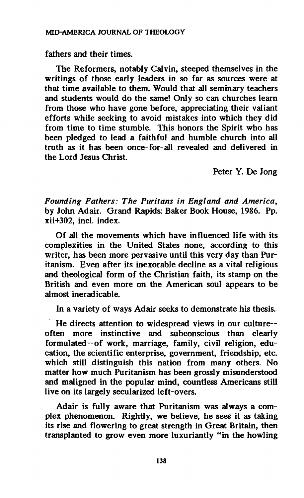**fathers and their times.** 

**The Reformers, notably Calvin, steeped themselves in the writings of those early leaders in so far as sources were at that time available to them. Would that all seminary teachers and students would do the same! Only so can churches learn from those who have gone before, appreciating their valiant efforts while seeking to avoid mistakes into which they did from time to time stumble. This honors the Spirit who has been pledged to lead a faithful and humble church into all truth as it has been once-for-all revealed and delivered in the Lord Jesus Christ.** 

**Peter Y. De Jong** 

*Founding Fathers: The Puritans in England and America,*  **by John Adair. Grand Rapids: Baker Book House, 1986. Pp. xii+302, inch index.** 

**Of all the movements which have influenced life with its complexities in the United States none, according to this writer, has been more pervasive until this very day than Puritanism. Even after its inexorable decline as a vital religious and theological form of the Christian faith, its stamp on the British and even more on the American soul appears to be almost ineradicable.** 

**In a variety of ways Adair seeks to demonstrate his thesis.** 

**He directs attention to widespread views in our culture often more instinctive and subconscious than clearly formulated—of work, marriage, family, civil religion, education, the scientific enterprise, government, friendship, etc. which still distinguish this nation from many others. No matter how much Puritanism has been grossly misunderstood and maligned in the popular mind, countless Americans still live on its largely secularized left-overs.** 

**Adair is fully aware that Puritanism was always a complex phenomenon. Rightly, we believe, he sees it as taking its rise and flowering to great strength in Great Britain, then transplanted to grow even more luxuriantly "in the howling**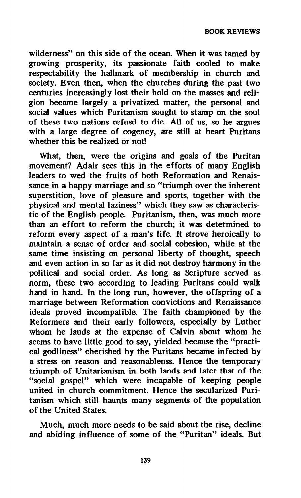**wilderness" on this side of the ocean. When it was tamed by growing prosperity, its passionate faith cooled to make respectability the hallmark of membership in church and society. Even then, when the churches during the past two centuries increasingly lost their hold on the masses and religion became largely a privatized matter, the personal and social values which Puritanism sought to stamp on the soul of these two nations refusd to die. All of us, so he argues with a large degree of cogency, are still at heart Puritans whether this be realized or not!** 

**What, then, were the origins and goals of the Puritan movement? Adair sees this in the efforts of many English leaders to wed the fruits of both Reformation and Renaissance in a happy marriage and so "triumph over the inherent superstition, love of pleasure and sports, together with the physical and mental laziness" which they saw as characteristic of the English people. Puritanism, then, was much more than an effort to reform the church; it was determined to reform every aspect of a man's life. It strove heroically to maintain a sense of order and social cohesion, while at the same time insisting on personal liberty of thought, speech and even action in so far as it did not destroy harmony in the political and social order. As long as Scripture served as norm, these two according to leading Puritans could walk hand in hand. In the long run, however, the offspring of a marriage between Reformation convictions and Renaissance ideals proved incompatible. The faith championed by the Reformers and their early followers, especially by Luther whom he lauds at the expense of Calvin about whom he seems to have little good to say, yielded because the "practical godliness" cherished by the Puritans became infected by a stress on reason and reasonablenss. Hence the temporary triumph of Unitarianism in both lands and later that of the "social gospel" which were incapable of keeping people united in church commitment. Hence the secularized Puritanism which still haunts many segments of the population of the United States.** 

**Much, much more needs to be said about the rise, decline and abiding influence of some of the "Puritan" ideals. But**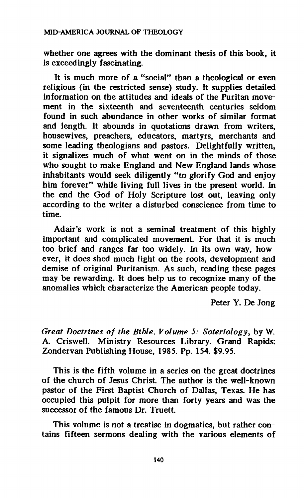**whether one agrees with the dominant thesis of this book, it is exceedingly fascinating.** 

**It is much more of a "social" than a theological or even religious (in the restricted sense) study. It supplies detailed information on the attitudes and ideals of the Puritan movement in the sixteenth and seventeenth centuries seldom found in such abundance in other works of similar format and length. It abounds in quotations drawn from writers, housewives, preachers, educators, martyrs, merchants and some leading theologians and pastors. Delightfully written, it signalizes much of what went on in the minds of those who sought to make England and New England lands whose inhabitants would seek diligently "to glorify God and enjoy him forever" while living full lives in the present world. In the end the God of Holy Scripture lost out, leaving only according to the writer a disturbed conscience from time to time.** 

**Adair's work is not a seminal treatment of this highly important and complicated movement. For that it is much too brief and ranges far too widely. In its own way, however, it does shed much light on the roots, development and demise of original Puritanism. As such, reading these pages may be rewarding. It does help us to recognize many of the anomalies which characterize the American people today.** 

**Peter Y. De Jong** 

*Great Doctrines of the Bible, Volume 5: Soteriology,* **by W. A. Criswell. Ministry Resources Library. Grand Rapids: Zondervan Publishing House, 1985. Pp. 154. \$9.95.** 

**This is the fifth volume in a series on the great doctrines of the church of Jesus Christ. The author is the well-known pastor of the First Baptist Church of Dallas, Texas. He has occupied this pulpit for more than forty years and was the successor of the famous Dr. Truett.** 

**This volume is not a treatise in dogmatics, but rather contains fifteen sermons dealing with the various elements of**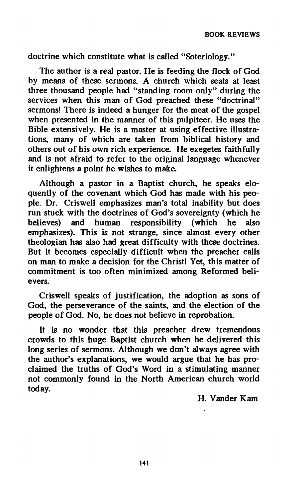**doctrine which constitute what is called "Soteriology."** 

**The author is a real pastor. He is feeding the flock of God by means of these sermons. A church which seats at least three thousand people had "standing room only" during the services when this man of God preached these "doctrinal" sermons! There is indeed a hunger for the meat of the gospel when presented in the manner of this pulpiteer. He uses the Bible extensively. He is a master at using effective illustrations, many of which are taken from biblical history and others out of his own rich experience. He exegetes faithfully and is not afraid to refer to the original language whenever it enlightens a point he wishes to make.** 

**Although a pastor in a Baptist church, he speaks eloquently of the covenant which God has made with his people. Dr. Criswell emphasizes man's total inability but does run stuck with the doctrines of God's sovereignty (which he believes) and human responsibility (which he also emphasizes). This is not strange, since almost every other theologian has also had great difficulty with these doctrines. But it becomes especially difficult when the preacher calls on man to make a decision for the Christ! Yet, this matter of commitment is too often minimized among Reformed believers.** 

**Criswell speaks of justification, the adoption as sons of God, the perseverance of the saints, and the election of the people of God. No, he does not believe in reprobation.** 

**It is no wonder that this preacher drew tremendous crowds to this huge Baptist church when he delivered this long series of sermons. Although we don't always agree with the author's explanations, we would argue that he has proclaimed the truths of God's Word in a stimulating manner not commonly found in the North American church world today.** 

**H. Vander Kam**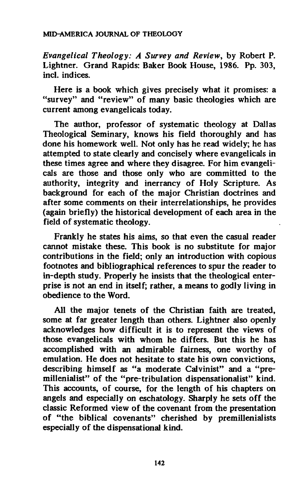## **MID-AMERICA JOURNAL OF THEOLOGY**

*Evangelical Theology: A Survey and Review,* **by Robert P. Lightner. Grand Rapids: Baker Book House, 1986. Pp. 303, incl. indices.** 

**Here is a book which gives precisely what it promises: a "survey" and "review" of many basic theologies which are current among evangelicals today.** 

**The author, professor of systematic theology at Dallas Theological Seminary, knows his field thoroughly and has done his homework well. Not only has he read widely; he has attempted to state clearly and concisely where evangelicals in these times agree and where they disagree. For him evangelicals are those and those only who are committed to the authority, integrity and inerrancy of Holy Scripture. As background for each of the major Christian doctrines and after some comments on their interrelationships, he provides (again briefly) the historical development of each area in the field of systematic theology.** 

**Frankly he states his aims, so that even the casual reader cannot mistake these. This book is no substitute for major contributions in the field; only an introduction with copious footnotes and bibliographical references to spur the reader to in-depth study. Properly he insists that the theological enterprise is not an end in itself; rather, a means to godly living in obedience to the Word.** 

**All the major tenets of the Christian faith are treated, some at far greater length than others. Lightner also openly acknowledges how difficult it is to represent the views of those evangelicals with whom he differs. But this he has accomplished with an admirable fairness, one worthy of emulation. He does not hesitate to state his own convictions, describing himself as "a moderate Calvinist" and a "premillenialist" of the "pre-tribulation dispensationalist" kind. This accounts, of course, for the length of his chapters on angels and especially on eschatology. Sharply he sets off the classic Reformed view of the covenant from the presentation**  of "the biblical covenants" cherished by premillenialists **especially of the dispensational kind.**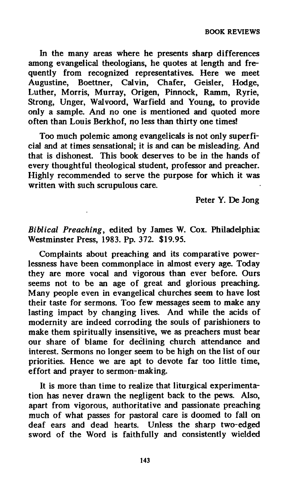**BOOK REVIEWS** 

**In the many areas where he presents sharp differences among evangelical theologians, he quotes at length and frequently from recognized representatives. Here we meet Augustine, Boettner, Calvin, Chafer, Geisler, Hodge, Luther, Morris, Murray, Origen, Pinnock, Ramm, Ryrie, Strong, Unger, Walvoord, War field and Young, to provide only a sample. And no one is mentioned and quoted more often than Louis Berkhof, no less than thirty one times!** 

**Too much polemic among evangelicals is not only superficial and at times sensational; it is and can be misleading. And that is dishonest. This book deserves to be in the hands of every thoughtful theological student, professor and preacher. Highly recommended to serve the purpose for which it was written with such scrupulous care.** 

**Peter Y. De Jong** 

*Biblical Preaching,* **edited by James W. Cox. Philadelphia: Westminster Press, 1983. Pp. 372. \$19.95.** 

**Complaints about preaching and its comparative powerlessness have been commonplace in almost every age. Today they are more vocal and vigorous than ever before. Ours seems not to be an age of great and glorious preaching. Many people even in evangelical churches seem to have lost their taste for sermons. Too few messages seem to make any lasting impact by changing lives. And while the acids of modernity are indeed corroding the souls of parishioners to make them spiritually insensitive, we as preachers must bear our share of blame for declining church attendance and interest. Sermons no longer seem to be high on the list of our priorities. Hence we are apt to devote far too little time, effort and prayer to sermon-making.** 

**It is more than time to realize that liturgical experimentation has never drawn the negligent back to the pews. Also, apart from vigorous, authoritative and passionate preaching much of what passes for pastoral care is doomed to fall on deaf ears and dead hearts. Unless the sharp two-edged sword of the Word is faithfully and consistently wielded** 

**143**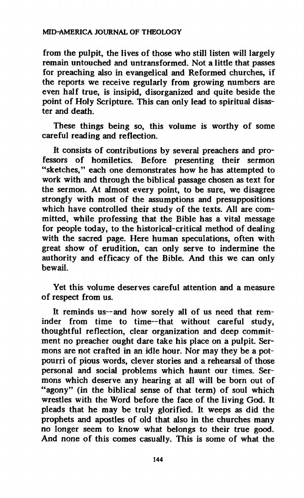**from the pulpit, the lives of those who still listen will largely remain untouched and untransformed. Not a little that passes for preaching also in evangelical and Reformed churches, if the reports we receive regularly from growing numbers are even half true, is insipid, disorganized and quite beside the point of Holy Scripture. This can only lead to spiritual disaster and death.** 

**These things being so, this volume is worthy of some careful reading and reflection.** 

**It consists of contributions by several preachers and professors of homiletics. Before presenting their sermon "sketches," each one demonstrates how he has attempted to work with and through the biblical passage chosen as text for the sermon. At almost every point, to be sure, we disagree strongly with most of the assumptions and presuppositions which have controlled their study of the texts. All are committed, while professing that the Bible has a vital message for people today, to the historical-critical method of dealing with the sacred page. Here human speculations, often with great show of erudition, can only serve to indermine the authority and efficacy of the Bible. And this we can only bewail.** 

**Yet this volume deserves careful attention and a measure of respect from us.** 

It reminds us--and how sorely all of us need that rem**inder from time to time—that without careful study, thoughtful reflection, clear organization and deep commitment no preacher ought dare take his place on a pulpit. Sermons are not crafted in an idle hour. Nor may they be a potpourri of pious words, clever stories and a rehearsal of those personal and social problems which haunt our times. Sermons which deserve any hearing at all will be born out of "agony" (in the biblical sense of that term) of soul which wrestles with the Word before the face of the living God. It pleads that he may be truly glorified. It weeps as did the prophets and apostles of old that also in the churches many no longer seem to know what belongs to their true good. And none of this comes casually. This is some of what the**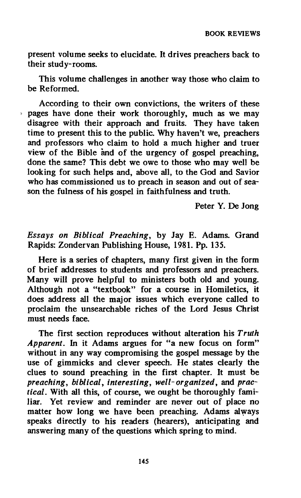**present volume seeks to elucidate. It drives preachers back to their study-rooms.** 

**This volume challenges in another way those who claim to be Reformed.** 

**According to their own convictions, the writers of these ^ pages have done their work thoroughly, much as we may disagree with their approach and fruits. They have taken time to present this to the public. Why haven't we, preachers and professors who claim to hold a much higher and truer view of the Bible and of the urgency of gospel preaching, done the same? This debt we owe to those who may well be looking for such helps and, above all, to the God and Savior who has commissioned us to preach in season and out of season the fulness of his gospel in faithfulness and truth.** 

**Peter Y. De Jong** 

*Essays on Biblical Preaching,* **by Jay E. Adams. Grand Rapids: Zondervan Publishing House, 1981. Pp. 135.** 

**Here is a series of chapters, many first given in the form of brief addresses to students and professors and preachers. Many will prove helpful to ministers both old and young. Although not a "textbook" for a course in Homiletics, it does address all the major issues which everyone called to proclaim the unsearchable riches of the Lord Jesus Christ must needs face.** 

**The first section reproduces without alteration his** *Truth Apparent. In* **it Adams argues for "a new focus on form" without in any way compromising the gospel message by the use of gimmicks and clever speech. He states clearly the clues to sound preaching in the first chapter. It must be**  *preaching, biblical, interesting, well-organized,* **and** *practical.* **With all this, of course, we ought be thoroughly familiar. Yet review and reminder are never out of place no matter how long we have been preaching. Adams always speaks directly to his readers (hearers), anticipating and answering many of the questions which spring to mind.**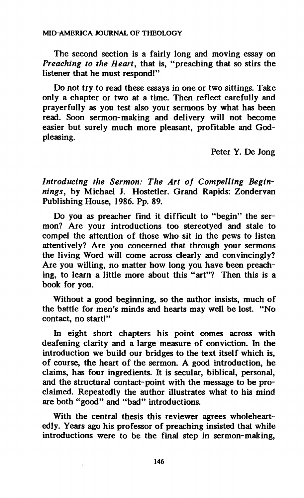**The second section is a fairly long and moving essay on**  *Preaching to the Heart,* **that is, "preaching that so stirs the listener that he must respond!"** 

**Do not try to read these essays in one or two sittings. Take only a chapter or two at a time. Then reflect carefully and prayerfully as you test also your sermons by what has been read. Soon sermon-making and delivery will not become easier but surely much more pleasant, profitable and Godpleasing.** 

**Peter Y. De Jong** 

*Introducing the Sermon: The Art of Compelling Beginnings,* **by Michael J. Hostetler. Grand Rapids: Zondervan Publishing House, 1986. Pp. 89.** 

**Do you as preacher find it difficult to "begin" the sermon? Are your introductions too stereotyed and stale to compel the attention of those who sit in the pews to listen attentively? Are you concerned that through your sermons the living Word will come across clearly and convincingly? Are you willing, no matter how long you have been preaching, to learn a little more about this "art"? Then this is a book for you.** 

**Without a good beginning, so the author insists, much of the battle for men's minds and hearts may well be lost. "No contact, no start!"** 

**In eight short chapters his point comes across with deafening clarity and a large measure of conviction. In the introduction we build our bridges to the text itself which is, of course, the heart of the sermon. A good introduction, he claims, has four ingredients. It is secular, biblical, personal, and the structural contact-point with the message to be proclaimed. Repeatedly the author illustrates what to his mind are both "good" and "bad" introductions.** 

**With the central thesis this reviewer agrees wholeheartedly. Years ago his professor of preaching insisted that while introductions were to be the final step in sermon-making,**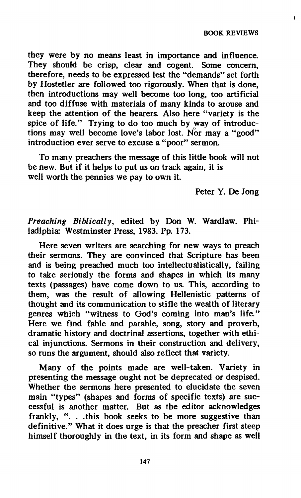**BOOK REVIEWS** 

 $\mathbf{I}$ 

**they were by no means least in importance and influence. They should be crisp, clear and cogent. Some concern, therefore, needs to be expressed lest the "demands" set forth by Hostetler are followed too rigorously. When that is done, then introductions may well become too long, too artificial and too diffuse with materials of many kinds to arouse and keep the attention of the hearers. Also here "variety is the spice of life." Trying to do too much by way of introductions may well become love's labor lost. Nor may a "good" introduction ever serve to excuse a "poor" sermon.** 

**To many preachers the message of this little book will not be new. But if it helps to put us on track again, it is well worth the pennies we pay to own it.** 

**Peter Y. De Jong** 

*Preaching Biblically,* **edited by Don W. Wardlaw. Philadlphia: Westminster Press, 1983. Pp. 173.** 

**Here seven writers are searching for new ways to preach their sermons. They are convinced that Scripture has been and is being preached much too intellectualistically, failing to take seriously the forms and shapes in which its many texts (passages) have come down to us. This, according to them, was the result of allowing Hellenistic patterns of thought and its communication to stifle the wealth of literary genres which "witness to God's coming into man's life." Here we find fable and parable, song, story and proverb, dramatic history and doctrinal assertions, together with ethical injunctions. Sermons in their construction and delivery, so runs the argument, should also reflect that variety.** 

**Many of the points made are well-taken. Variety in presenting the message ought not be deprecated or despised. Whether the sermons here presented to elucidate the seven main "types" (shapes and forms of specific texts) are successful is another matter. But as the editor acknowledges frankly, ". . .this book seeks to be more suggestive than definitive." What it does urge is that the preacher first steep himself thoroughly in the text, in its form and shape as well**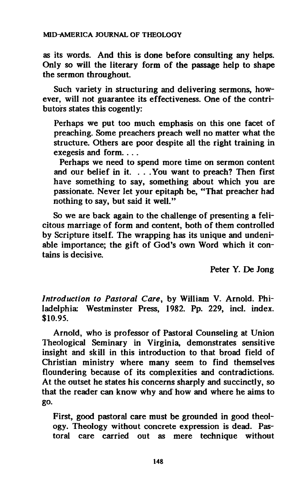**as its words. And this is done before consulting any helps. Only so will the literary form of the passage help to shape the sermon throughout.** 

**Such variety in structuring and delivering sermons, however, will not guarantee its effectiveness. One of the contributors states this cogently:** 

**Perhaps we put too much emphasis on this one facet of preaching. Some preachers preach well no matter what the structure. Others are poor despite all the right training in exegesis and form. . . .** 

**Perhaps we need to spend more time on sermon content and our belief in it. . . .You want to preach? Then first have something to say, something about which you are passionate. Never let your epitaph be, "That preacher had nothing to say, but said it well."** 

**So we are back again to the challenge of presenting a felicitous marriage of form and content, both of them controlled by Scripture itself. The wrapping has its unique and undeniable importance; the gift of God's own Word which it contains is decisive.** 

**Peter Y. De Jong** 

*Introduction to Pastoral Care,* **by William V. Arnold. Philadelphia: Westminster Press, 1982. Pp. 229, incl. index. \$10.95.** 

**Arnold, who is professor of Pastoral Counseling at Union Theological Seminary in Virginia, demonstrates sensitive insight and skill in this introduction to that broad field of Christian ministry where many seem to find themselves floundering because of its complexities and contradictions. At the outset he states his concerns sharply and succinctly, so that the reader can know why and how and where he aims to go.** 

**First, good pastoral care must be grounded in good theology. Theology without concrete expression is dead. Pastoral care carried out as mere technique without**